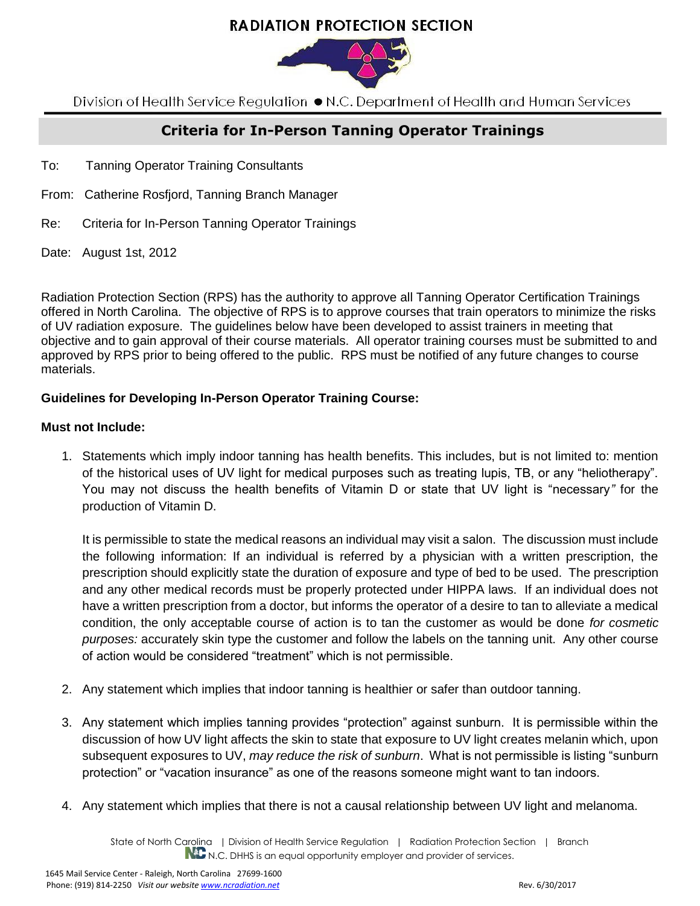# **RADIATION PROTECTION SECTION**



Division of Health Service Regulation ● N.C. Department of Health and Human Services

## **Criteria for In-Person Tanning Operator Trainings**

- To: Tanning Operator Training Consultants
- From: Catherine Rosfjord, Tanning Branch Manager
- Re: Criteria for In-Person Tanning Operator Trainings
- Date: August 1st, 2012

Radiation Protection Section (RPS) has the authority to approve all Tanning Operator Certification Trainings offered in North Carolina. The objective of RPS is to approve courses that train operators to minimize the risks of UV radiation exposure. The guidelines below have been developed to assist trainers in meeting that objective and to gain approval of their course materials. All operator training courses must be submitted to and approved by RPS prior to being offered to the public. RPS must be notified of any future changes to course materials.

#### **Guidelines for Developing In-Person Operator Training Course:**

#### **Must not Include:**

1. Statements which imply indoor tanning has health benefits. This includes, but is not limited to: mention of the historical uses of UV light for medical purposes such as treating lupis, TB, or any "heliotherapy". You may not discuss the health benefits of Vitamin D or state that UV light is "necessary*"* for the production of Vitamin D.

It is permissible to state the medical reasons an individual may visit a salon. The discussion must include the following information: If an individual is referred by a physician with a written prescription, the prescription should explicitly state the duration of exposure and type of bed to be used. The prescription and any other medical records must be properly protected under HIPPA laws. If an individual does not have a written prescription from a doctor, but informs the operator of a desire to tan to alleviate a medical condition, the only acceptable course of action is to tan the customer as would be done *for cosmetic purposes:* accurately skin type the customer and follow the labels on the tanning unit. Any other course of action would be considered "treatment" which is not permissible.

- 2. Any statement which implies that indoor tanning is healthier or safer than outdoor tanning.
- 3. Any statement which implies tanning provides "protection" against sunburn. It is permissible within the discussion of how UV light affects the skin to state that exposure to UV light creates melanin which, upon subsequent exposures to UV, *may reduce the risk of sunburn*. What is not permissible is listing "sunburn protection" or "vacation insurance" as one of the reasons someone might want to tan indoors.
- 4. Any statement which implies that there is not a causal relationship between UV light and melanoma.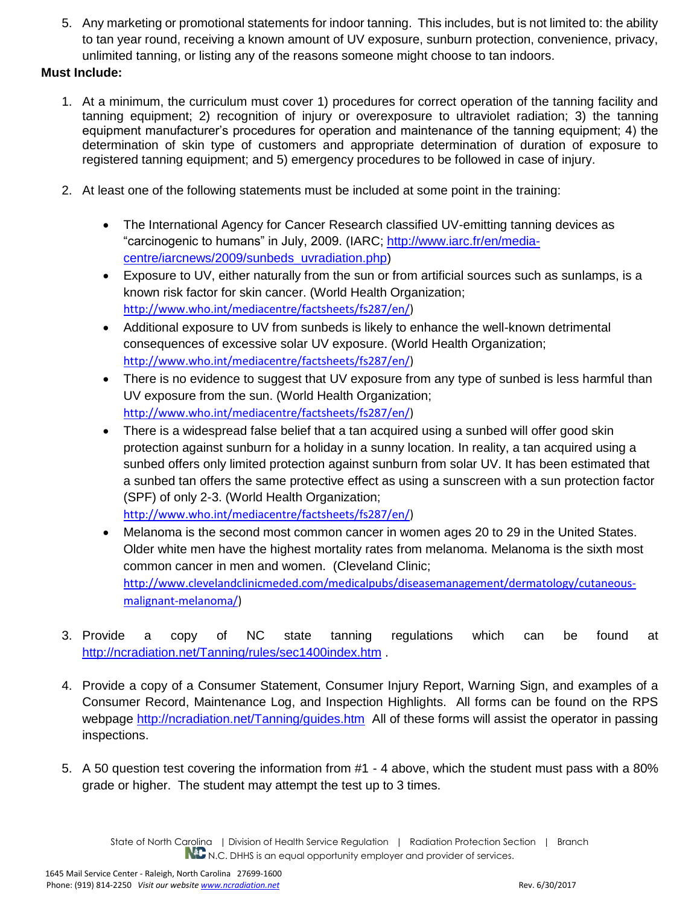5. Any marketing or promotional statements for indoor tanning. This includes, but is not limited to: the ability to tan year round, receiving a known amount of UV exposure, sunburn protection, convenience, privacy, unlimited tanning, or listing any of the reasons someone might choose to tan indoors.

### **Must Include:**

- 1. At a minimum, the curriculum must cover 1) procedures for correct operation of the tanning facility and tanning equipment; 2) recognition of injury or overexposure to ultraviolet radiation; 3) the tanning equipment manufacturer's procedures for operation and maintenance of the tanning equipment; 4) the determination of skin type of customers and appropriate determination of duration of exposure to registered tanning equipment; and 5) emergency procedures to be followed in case of injury.
- 2. At least one of the following statements must be included at some point in the training:
	- The International Agency for Cancer Research classified UV-emitting tanning devices as "carcinogenic to humans" in July, 2009. (IARC; [http://www.iarc.fr/en/media](http://www.iarc.fr/en/media-centre/iarcnews/2009/sunbeds_uvradiation.php)[centre/iarcnews/2009/sunbeds\\_uvradiation.php\)](http://www.iarc.fr/en/media-centre/iarcnews/2009/sunbeds_uvradiation.php)
	- Exposure to UV, either naturally from the sun or from artificial sources such as sunlamps, is a known risk factor for skin cancer. (World Health Organization; [http://www.who.int/mediacentre/factsheets/fs287/en/\)](http://www.who.int/mediacentre/factsheets/fs287/en/)
	- Additional exposure to UV from sunbeds is likely to enhance the well-known detrimental consequences of excessive solar UV exposure. (World Health Organization; [http://www.who.int/mediacentre/factsheets/fs287/en/\)](http://www.who.int/mediacentre/factsheets/fs287/en/)
	- There is no evidence to suggest that UV exposure from any type of sunbed is less harmful than UV exposure from the sun. (World Health Organization; [http://www.who.int/mediacentre/factsheets/fs287/en/\)](http://www.who.int/mediacentre/factsheets/fs287/en/)
	- There is a widespread false belief that a tan acquired using a sunbed will offer good skin protection against sunburn for a holiday in a sunny location. In reality, a tan acquired using a sunbed offers only limited protection against sunburn from solar UV. It has been estimated that a sunbed tan offers the same protective effect as using a sunscreen with a sun protection factor (SPF) of only 2-3. (World Health Organization; [http://www.who.int/mediacentre/factsheets/fs287/en/\)](http://www.who.int/mediacentre/factsheets/fs287/en/)
	- Melanoma is the second most common cancer in women ages 20 to 29 in the United States. Older white men have the highest mortality rates from melanoma. Melanoma is the sixth most common cancer in men and women. (Cleveland Clinic; [http://www.clevelandclinicmeded.com/medicalpubs/diseasemanagement/dermatology/cutaneous](http://www.clevelandclinicmeded.com/medicalpubs/diseasemanagement/dermatology/cutaneous-malignant-melanoma/)[malignant-melanoma/\)](http://www.clevelandclinicmeded.com/medicalpubs/diseasemanagement/dermatology/cutaneous-malignant-melanoma/)
- 3. Provide a copy of NC state tanning regulations which can be found at <http://ncradiation.net/Tanning/rules/sec1400index.htm> .
- 4. Provide a copy of a Consumer Statement, Consumer Injury Report, Warning Sign, and examples of a Consumer Record, Maintenance Log, and Inspection Highlights. All forms can be found on the RPS webpage<http://ncradiation.net/Tanning/guides.htm>All of these forms will assist the operator in passing inspections.
- 5. A 50 question test covering the information from #1 4 above, which the student must pass with a 80% grade or higher. The student may attempt the test up to 3 times.

State of North Carolina | Division of Health Service Regulation | Radiation Protection Section | Branch NL N.C. DHHS is an equal opportunity employer and provider of services.